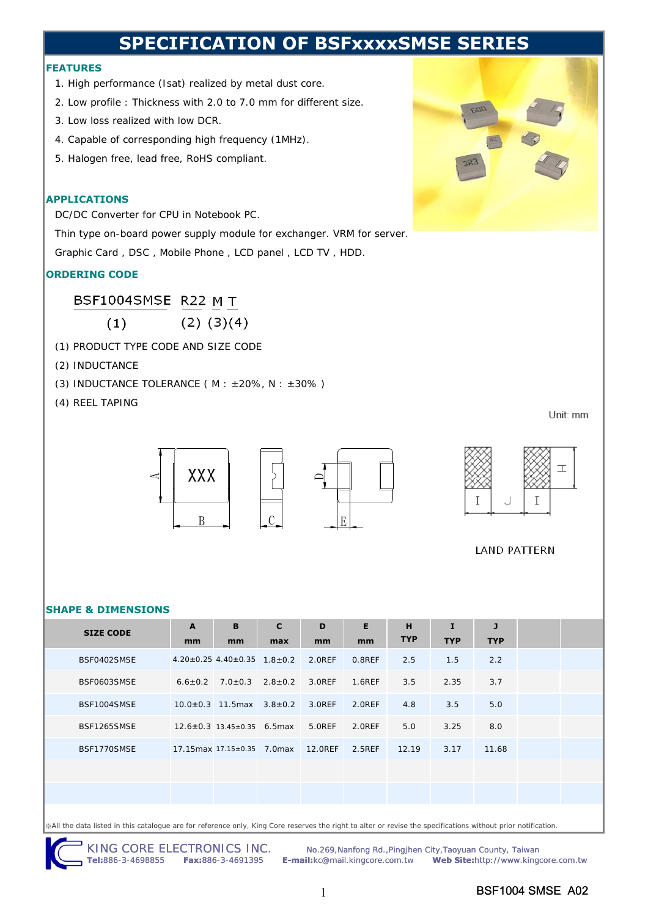# **SPECIFICATION OF BSFxxxxSMSE SERI**

### **FEATURES**

- 1. High performance (Isat) realized by metal dust core.
- 2. Low profile : Thickness with 2.0 to 7.0 mm for different size.
- 3. Low loss realized with low DCR.
- 4. Capable of corresponding high frequency (1MHz).
- 5. Halogen free, lead free, RoHS compliant.

### **APPLICATIONS**

DC/DC Converter for CPU in Notebook PC.

Thin type on-board power supply module for exchanger. VRM for server.

Graphic Card , DSC , Mobile Phone , LCD panel , LCD TV , HDD.

## **ORDERING CODE**

BSF1004SMSE R22 M T

 $(2)$   $(3)(4)$ 

- (1) PRODUCT TYPE CODE AND SIZE CODE
- (2) INDUCTANCE

 $(1)$ 

(3) INDUCTANCE TOLERANCE ( $M : ±20\%$ ,  $N : ±30\%$ )

(4) REEL TAPING

Unit: mm





**LAND PATTERN** 

#### **SHAPE & DIMENSIONS**

| <b>SIZE CODE</b> | $\mathbf{A}$ | B                                                       | $\mathbf{C}$ | D      | E      | H          | I          | $\mathbf{J}$ |  |
|------------------|--------------|---------------------------------------------------------|--------------|--------|--------|------------|------------|--------------|--|
|                  | mm           | mm                                                      | max          | mm     | mm     | <b>TYP</b> | <b>TYP</b> | <b>TYP</b>   |  |
| BSF0402SMSE      |              | $4.20 \pm 0.25$ 4.40 $\pm$ 0.35 1.8 $\pm$ 0.2 2.0REF    |              |        | 0.8REF | 2.5        | 1.5        | 2.2          |  |
| BSF0603SMSE      |              | $6.6 \pm 0.2$ 7.0 $\pm$ 0.3 2.8 $\pm$ 0.2 3.0REF 1.6REF |              |        |        | 3.5        | 2.35       | 3.7          |  |
| BSF1004SMSE      |              | $10.0 \pm 0.3$ 11.5 max $3.8 \pm 0.2$ 3.0 REF           |              |        | 2.OREF | 4.8        | 3.5        | 5.0          |  |
| BSF1265SMSE      |              | $12.6 \pm 0.3$ 13.45 $\pm$ 0.35 6.5 max                 |              | 5.OREF | 2.0REF | 5.0        | 3.25       | 8.0          |  |
| BSF1770SMSE      |              | 17.15 max 17.15 ± 0.35 7.0 max 12.0 REF                 |              |        | 2.5REF | 12.19      | 3.17       | 11.68        |  |
|                  |              |                                                         |              |        |        |            |            |              |  |
|                  |              |                                                         |              |        |        |            |            |              |  |
|                  |              |                                                         |              |        |        |            |            |              |  |

※All the data listed in this catalogue are for reference only, King Core reserves the right to alter or revise the specifications without prior notification.